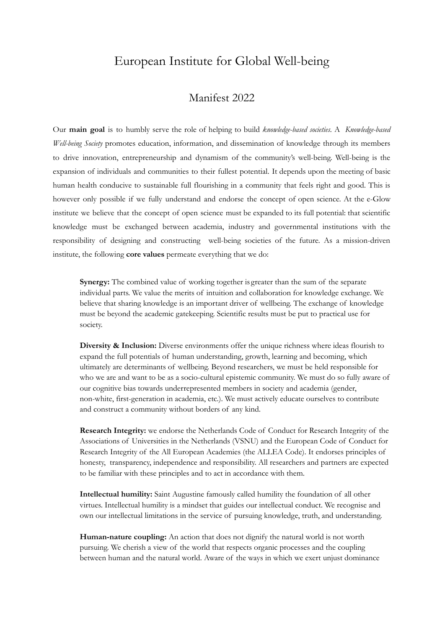## European Institute for Global Well-being

## Manifest 2022

Our **main goal** is to humbly serve the role of helping to build *knowledge-based societies*. A *Knowledge-based Well-being Society* promotes education, information, and dissemination of knowledge through its members to drive innovation, entrepreneurship and dynamism of the community's well-being. Well-being is the expansion of individuals and communities to their fullest potential. It depends upon the meeting of basic human health conducive to sustainable full flourishing in a community that feels right and good. This is however only possible if we fully understand and endorse the concept of open science. At the e-Glow institute we believe that the concept of open science must be expanded to its full potential: that scientific knowledge must be exchanged between academia, industry and governmental institutions with the responsibility of designing and constructing well-being societies of the future. As a mission-driven institute, the following **core values** permeate everything that we do:

**Synergy:** The combined value of working together is greater than the sum of the separate individual parts. We value the merits of intuition and collaboration for knowledge exchange. We believe that sharing knowledge is an important driver of wellbeing. The exchange of knowledge must be beyond the academic gatekeeping. Scientific results must be put to practical use for society.

**Diversity & Inclusion:** Diverse environments offer the unique richness where ideas flourish to expand the full potentials of human understanding, growth, learning and becoming, which ultimately are determinants of wellbeing. Beyond researchers, we must be held responsible for who we are and want to be as a socio-cultural epistemic community. We must do so fully aware of our cognitive bias towards underrepresented members in society and academia (gender, non-white, first-generation in academia, etc.). We must actively educate ourselves to contribute and construct a community without borders of any kind.

**Research Integrity:** we endorse the Netherlands Code of Conduct for Research Integrity of the Associations of Universities in the Netherlands (VSNU) and the European Code of Conduct for Research Integrity of the All European Academies (the ALLEA Code). It endorses principles of honesty, transparency, independence and responsibility. All researchers and partners are expected to be familiar with these principles and to act in accordance with them.

**Intellectual humility:** Saint Augustine famously called humility the foundation of all other virtues. Intellectual humility is a mindset that guides our intellectual conduct. We recognise and own our intellectual limitations in the service of pursuing knowledge, truth, and understanding.

**Human-nature coupling:** An action that does not dignify the natural world is not worth pursuing. We cherish a view of the world that respects organic processes and the coupling between human and the natural world. Aware of the ways in which we exert unjust dominance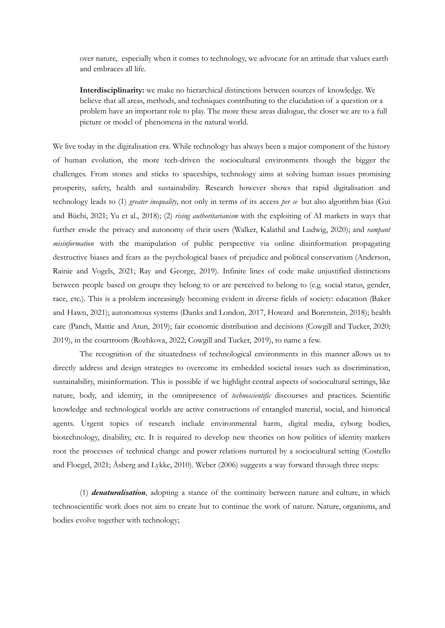over nature, especially when it comes to technology, we advocate for an attitude that values earth and embraces all life.

**Interdisciplinarity:** we make no hierarchical distinctions between sources of knowledge. We believe that all areas, methods, and techniques contributing to the elucidation of a question or a problem have an important role to play. The more these areas dialogue, the closer we are to a full picture or model of phenomena in the natural world.

We live today in the digitalisation era. While technology has always been a major component of the history of human evolution, the more tech-driven the sociocultural environments though the bigger the challenges. From stones and sticks to spaceships, technology aims at solving human issues promising prosperity, safety, health and sustainability. Research however shows that rapid digitalisation and technology leads to (1) *greater inequality*, not only in terms of its access *per se* but also algorithm bias (Gui and Büchi, 2021; Yu et al., 2018); (2) *rising authoritarianism* with the exploiting of AI markets in ways that further erode the privacy and autonomy of their users (Walker, Kalathil and Ludwig, 2020); and *rampant misinformation* with the manipulation of public perspective via online disinformation propagating destructive biases and fears as the psychological bases of prejudice and political conservatism (Anderson, Rainie and Vogels, 2021; Ray and George, 2019). Infinite lines of code make unjustified distinctions between people based on groups they belong to or are perceived to belong to (e.g. social status, gender, race, etc.). This is a problem increasingly becoming evident in diverse fields of society: education (Baker and Hawn, 2021); autonomous systems (Danks and London, 2017, Howard and Borenstein, 2018); health care (Panch, Mattie and Atun, 2019); fair economic distribution and decisions (Cowgill and Tucker, 2020; 2019), in the courtroom (Rozhkova, 2022; Cowgill and Tucker, 2019), to name a few.

The recognition of the situatedness of technological environments in this manner allows us to directly address and design strategies to overcome its embedded societal issues such as discrimination, sustainability, misinformation. This is possible if we highlight central aspects of sociocultural settings, like nature, body, and identity, in the omnipresence of *technoscientific* discourses and practices. Scientific knowledge and technological worlds are active constructions of entangled material, social, and historical agents. Urgent topics of research include environmental harm, digital media, cyborg bodies, biotechnology, disability, etc. It is required to develop new theories on how politics of identity markers root the processes of technical change and power relations nurtured by a sociocultural setting (Costello and Floegel, 2021; Åsberg and Lykke, 2010). Weber (2006) suggests a way forward through three steps:

(1) *denaturalisation*, adopting a stance of the continuity between nature and culture, in which technoscientific work does not aim to create but to continue the work of nature. Nature, organisms, and bodies evolve together with technology;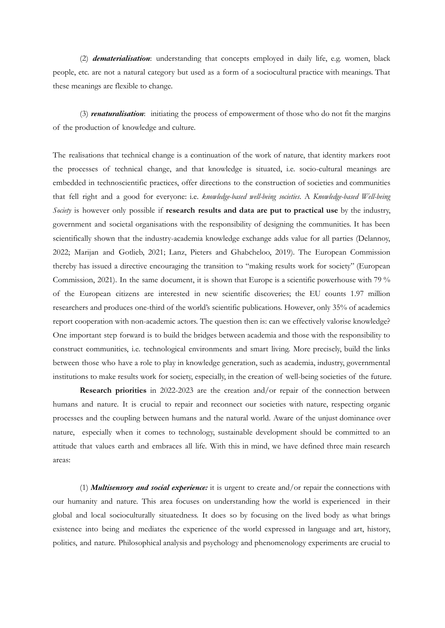(2) *dematerialisation*: understanding that concepts employed in daily life, e.g. women, black people, etc. are not a natural category but used as a form of a sociocultural practice with meanings. That these meanings are flexible to change.

(3) *renaturalisation*: initiating the process of empowerment of those who do not fit the margins of the production of knowledge and culture.

The realisations that technical change is a continuation of the work of nature, that identity markers root the processes of technical change, and that knowledge is situated, i.e. socio-cultural meanings are embedded in technoscientific practices, offer directions to the construction of societies and communities that fell right and a good for everyone: i.e. *knowledge-based well-being societies*. A *Knowledge-based Well-being Society* is however only possible if **research results and data are put to practical use** by the industry, government and societal organisations with the responsibility of designing the communities. It has been scientifically shown that the industry-academia knowledge exchange adds value for all parties (Delannoy, 2022; Marijan and Gotlieb, 2021; Lanz, Pieters and Ghabcheloo, 2019). The European Commission thereby has issued a directive encouraging the transition to "making results work for society" (European Commission, 2021). In the same document, it is shown that Europe is a scientific powerhouse with 79 % of the European citizens are interested in new scientific discoveries; the EU counts 1.97 million researchers and produces one-third of the world's scientific publications. However, only 35% of academics report cooperation with non-academic actors. The question then is: can we effectively valorise knowledge? One important step forward is to build the bridges between academia and those with the responsibility to construct communities, i.e. technological environments and smart living. More precisely, build the links between those who have a role to play in knowledge generation, such as academia, industry, governmental institutions to make results work for society, especially, in the creation of well-being societies of the future.

**Research priorities** in 2022-2023 are the creation and/or repair of the connection between humans and nature. It is crucial to repair and reconnect our societies with nature, respecting organic processes and the coupling between humans and the natural world. Aware of the unjust dominance over nature, especially when it comes to technology, sustainable development should be committed to an attitude that values earth and embraces all life. With this in mind, we have defined three main research areas:

(1) *Multisensory and social experience:* it is urgent to create and/or repair the connections with our humanity and nature. This area focuses on understanding how the world is experienced in their global and local socioculturally situatedness. It does so by focusing on the lived body as what brings existence into being and mediates the experience of the world expressed in language and art, history, politics, and nature. Philosophical analysis and psychology and phenomenology experiments are crucial to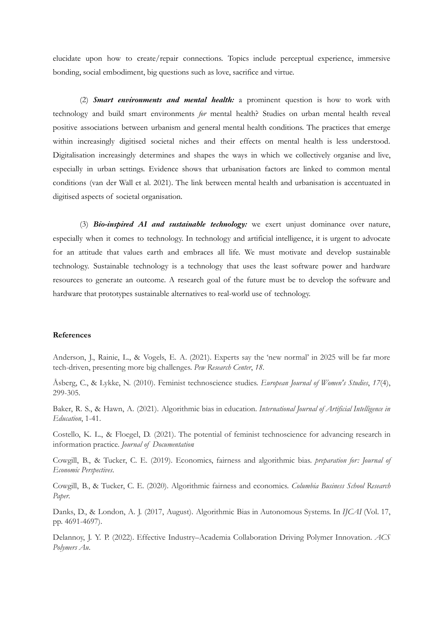elucidate upon how to create/repair connections. Topics include perceptual experience, immersive bonding, social embodiment, big questions such as love, sacrifice and virtue.

(2) *Smart environments and mental health:* a prominent question is how to work with technology and build smart environments *for* mental health? Studies on urban mental health reveal positive associations between urbanism and general mental health conditions. The practices that emerge within increasingly digitised societal niches and their effects on mental health is less understood. Digitalisation increasingly determines and shapes the ways in which we collectively organise and live, especially in urban settings. Evidence shows that urbanisation factors are linked to common mental conditions (van der Wall et al. 2021). The link between mental health and urbanisation is accentuated in digitised aspects of societal organisation.

(3) *Bio-inspired AI and sustainable technology:* we exert unjust dominance over nature, especially when it comes to technology. In technology and artificial intelligence, it is urgent to advocate for an attitude that values earth and embraces all life. We must motivate and develop sustainable technology. Sustainable technology is a technology that uses the least software power and hardware resources to generate an outcome. A research goal of the future must be to develop the software and hardware that prototypes sustainable alternatives to real-world use of technology.

## **References**

Anderson, J., Rainie, L., & Vogels, E. A. (2021). Experts say the 'new normal' in 2025 will be far more tech-driven, presenting more big challenges. *Pew Research Center*, *18*.

Åsberg, C., & Lykke, N. (2010). Feminist technoscience studies. *European Journal of Women's Studies*, *17*(4), 299-305.

Baker, R. S., & Hawn, A. (2021). Algorithmic bias in education. *International Journal of Artificial Intelligence in Education*, 1-41.

Costello, K. L., & Floegel, D. (2021). The potential of feminist technoscience for advancing research in information practice. *Journal of Documentation*.

Cowgill, B., & Tucker, C. E. (2019). Economics, fairness and algorithmic bias. *preparation for: Journal of Economic Perspectives*.

Cowgill, B., & Tucker, C. E. (2020). Algorithmic fairness and economics. *Columbia Business School Research Paper*.

Danks, D., & London, A. J. (2017, August). Algorithmic Bias in Autonomous Systems. In *IJCAI* (Vol. 17, pp. 4691-4697).

Delannoy, J. Y. P. (2022). Effective Industry–Academia Collaboration Driving Polymer Innovation. *ACS Polymers Au*.